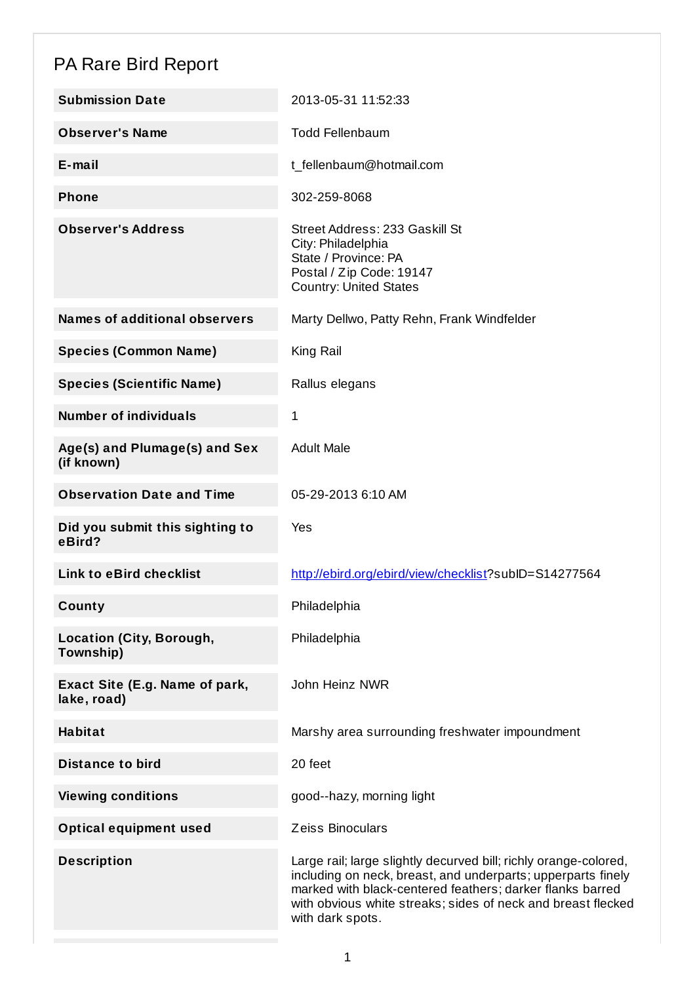## PA Rare Bird Report

| <b>Submission Date</b>                        | 2013-05-31 11:52:33                                                                                                                                                                                                                                                               |
|-----------------------------------------------|-----------------------------------------------------------------------------------------------------------------------------------------------------------------------------------------------------------------------------------------------------------------------------------|
| <b>Observer's Name</b>                        | <b>Todd Fellenbaum</b>                                                                                                                                                                                                                                                            |
| $E$ -mail                                     | t_fellenbaum@hotmail.com                                                                                                                                                                                                                                                          |
| <b>Phone</b>                                  | 302-259-8068                                                                                                                                                                                                                                                                      |
| <b>Observer's Address</b>                     | Street Address: 233 Gaskill St<br>City: Philadelphia<br>State / Province: PA<br>Postal / Zip Code: 19147<br><b>Country: United States</b>                                                                                                                                         |
| <b>Names of additional observers</b>          | Marty Dellwo, Patty Rehn, Frank Windfelder                                                                                                                                                                                                                                        |
| <b>Species (Common Name)</b>                  | King Rail                                                                                                                                                                                                                                                                         |
| <b>Species (Scientific Name)</b>              | Rallus elegans                                                                                                                                                                                                                                                                    |
| <b>Number of individuals</b>                  | 1                                                                                                                                                                                                                                                                                 |
| Age(s) and Plumage(s) and Sex<br>(if known)   | <b>Adult Male</b>                                                                                                                                                                                                                                                                 |
| <b>Observation Date and Time</b>              | 05-29-2013 6:10 AM                                                                                                                                                                                                                                                                |
| Did you submit this sighting to<br>eBird?     | Yes                                                                                                                                                                                                                                                                               |
| <b>Link to eBird checklist</b>                | http://ebird.org/ebird/view/checklist?subID=S14277564                                                                                                                                                                                                                             |
| County                                        | Philadelphia                                                                                                                                                                                                                                                                      |
| <b>Location (City, Borough,</b><br>Township)  | Philadelphia                                                                                                                                                                                                                                                                      |
| Exact Site (E.g. Name of park,<br>lake, road) | John Heinz NWR                                                                                                                                                                                                                                                                    |
| <b>Habitat</b>                                | Marshy area surrounding freshwater impoundment                                                                                                                                                                                                                                    |
| <b>Distance to bird</b>                       | 20 feet                                                                                                                                                                                                                                                                           |
| <b>Viewing conditions</b>                     | good--hazy, morning light                                                                                                                                                                                                                                                         |
| <b>Optical equipment used</b>                 | Zeiss Binoculars                                                                                                                                                                                                                                                                  |
| <b>Description</b>                            | Large rail; large slightly decurved bill; richly orange-colored,<br>including on neck, breast, and underparts; upperparts finely<br>marked with black-centered feathers; darker flanks barred<br>with obvious white streaks; sides of neck and breast flecked<br>with dark spots. |